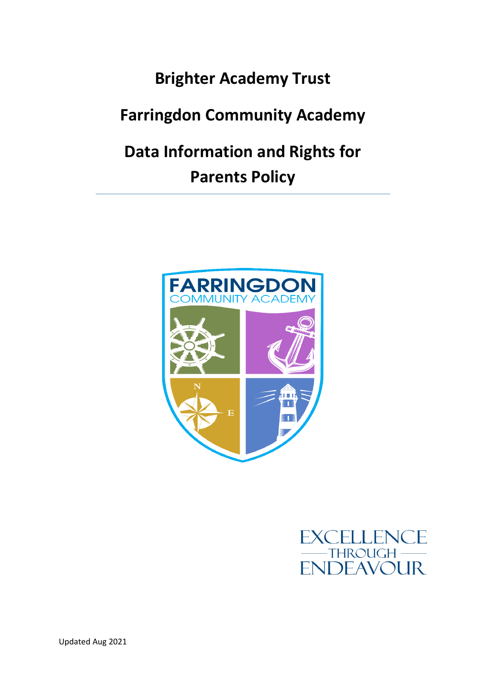# **Brighter Academy Trust**

# **Farringdon Community Academy**

# **Data Information and Rights for Parents Policy**



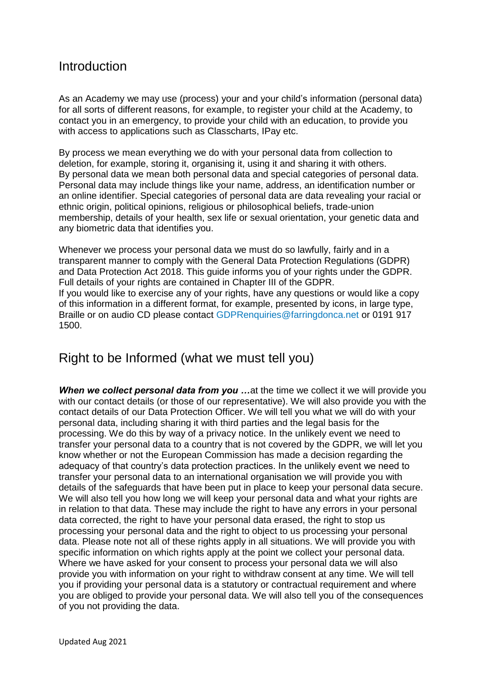#### **Introduction**

As an Academy we may use (process) your and your child's information (personal data) for all sorts of different reasons, for example, to register your child at the Academy, to contact you in an emergency, to provide your child with an education, to provide you with access to applications such as Classcharts, IPay etc.

By process we mean everything we do with your personal data from collection to deletion, for example, storing it, organising it, using it and sharing it with others. By personal data we mean both personal data and special categories of personal data. Personal data may include things like your name, address, an identification number or an online identifier. Special categories of personal data are data revealing your racial or ethnic origin, political opinions, religious or philosophical beliefs, trade-union membership, details of your health, sex life or sexual orientation, your genetic data and any biometric data that identifies you.

Whenever we process your personal data we must do so lawfully, fairly and in a transparent manner to comply with the General Data Protection Regulations (GDPR) and Data Protection Act 2018. This guide informs you of your rights under the GDPR. Full details of your rights are contained in Chapter III of the GDPR. If you would like to exercise any of your rights, have any questions or would like a copy of this information in a different format, for example, presented by icons, in large type, Braille or on audio CD please contact [GDPRenquiries@farringdonca.net](mailto:GDPRenquiries@farringdonca.net) or 0191 917 1500.

## Right to be Informed (what we must tell you)

**When we collect personal data from you ...** at the time we collect it we will provide you with our contact details (or those of our representative). We will also provide you with the contact details of our Data Protection Officer. We will tell you what we will do with your personal data, including sharing it with third parties and the legal basis for the processing. We do this by way of a privacy notice. In the unlikely event we need to transfer your personal data to a country that is not covered by the GDPR, we will let you know whether or not the European Commission has made a decision regarding the adequacy of that country's data protection practices. In the unlikely event we need to transfer your personal data to an international organisation we will provide you with details of the safeguards that have been put in place to keep your personal data secure. We will also tell you how long we will keep your personal data and what your rights are in relation to that data. These may include the right to have any errors in your personal data corrected, the right to have your personal data erased, the right to stop us processing your personal data and the right to object to us processing your personal data. Please note not all of these rights apply in all situations. We will provide you with specific information on which rights apply at the point we collect your personal data. Where we have asked for your consent to process your personal data we will also provide you with information on your right to withdraw consent at any time. We will tell you if providing your personal data is a statutory or contractual requirement and where you are obliged to provide your personal data. We will also tell you of the consequences of you not providing the data.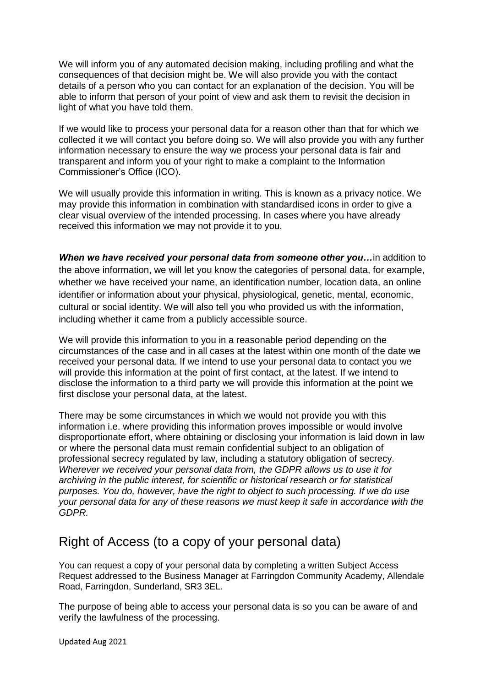We will inform you of any automated decision making, including profiling and what the consequences of that decision might be. We will also provide you with the contact details of a person who you can contact for an explanation of the decision. You will be able to inform that person of your point of view and ask them to revisit the decision in light of what you have told them.

If we would like to process your personal data for a reason other than that for which we collected it we will contact you before doing so. We will also provide you with any further information necessary to ensure the way we process your personal data is fair and transparent and inform you of your right to make a complaint to the Information Commissioner's Office (ICO).

We will usually provide this information in writing. This is known as a privacy notice. We may provide this information in combination with standardised icons in order to give a clear visual overview of the intended processing. In cases where you have already received this information we may not provide it to you.

*When we have received your personal data from someone other you…*in addition to the above information, we will let you know the categories of personal data, for example, whether we have received your name, an identification number, location data, an online identifier or information about your physical, physiological, genetic, mental, economic, cultural or social identity. We will also tell you who provided us with the information, including whether it came from a publicly accessible source.

We will provide this information to you in a reasonable period depending on the circumstances of the case and in all cases at the latest within one month of the date we received your personal data. If we intend to use your personal data to contact you we will provide this information at the point of first contact, at the latest. If we intend to disclose the information to a third party we will provide this information at the point we first disclose your personal data, at the latest.

There may be some circumstances in which we would not provide you with this information i.e. where providing this information proves impossible or would involve disproportionate effort, where obtaining or disclosing your information is laid down in law or where the personal data must remain confidential subject to an obligation of professional secrecy regulated by law, including a statutory obligation of secrecy. *Wherever we received your personal data from, the GDPR allows us to use it for archiving in the public interest, for scientific or historical research or for statistical purposes. You do, however, have the right to object to such processing. If we do use your personal data for any of these reasons we must keep it safe in accordance with the GDPR.* 

## Right of Access (to a copy of your personal data)

You can request a copy of your personal data by completing a written Subject Access Request addressed to the Business Manager at Farringdon Community Academy, Allendale Road, Farringdon, Sunderland, SR3 3EL.

The purpose of being able to access your personal data is so you can be aware of and verify the lawfulness of the processing.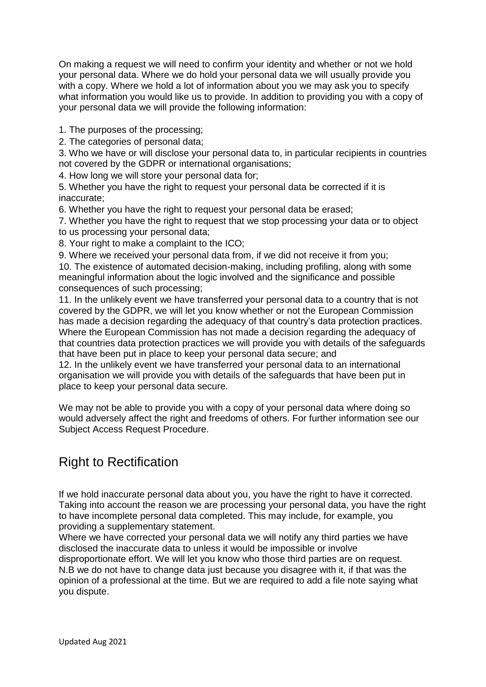On making a request we will need to confirm your identity and whether or not we hold your personal data. Where we do hold your personal data we will usually provide you with a copy. Where we hold a lot of information about you we may ask you to specify what information you would like us to provide. In addition to providing you with a copy of your personal data we will provide the following information:

1. The purposes of the processing;

2. The categories of personal data;

3. Who we have or will disclose your personal data to, in particular recipients in countries not covered by the GDPR or international organisations;

4. How long we will store your personal data for;

5. Whether you have the right to request your personal data be corrected if it is inaccurate;

6. Whether you have the right to request your personal data be erased;

7. Whether you have the right to request that we stop processing your data or to object to us processing your personal data;

8. Your right to make a complaint to the ICO;

9. Where we received your personal data from, if we did not receive it from you;

10. The existence of automated decision-making, including profiling, along with some meaningful information about the logic involved and the significance and possible consequences of such processing;

11. In the unlikely event we have transferred your personal data to a country that is not covered by the GDPR, we will let you know whether or not the European Commission has made a decision regarding the adequacy of that country's data protection practices. Where the European Commission has not made a decision regarding the adequacy of that countries data protection practices we will provide you with details of the safeguards that have been put in place to keep your personal data secure; and

12. In the unlikely event we have transferred your personal data to an international organisation we will provide you with details of the safeguards that have been put in place to keep your personal data secure.

We may not be able to provide you with a copy of your personal data where doing so would adversely affect the right and freedoms of others. For further information see our Subject Access Request Procedure.

## Right to Rectification

If we hold inaccurate personal data about you, you have the right to have it corrected. Taking into account the reason we are processing your personal data, you have the right to have incomplete personal data completed. This may include, for example, you providing a supplementary statement.

Where we have corrected your personal data we will notify any third parties we have disclosed the inaccurate data to unless it would be impossible or involve disproportionate effort. We will let you know who those third parties are on request.

N.B we do not have to change data just because you disagree with it, if that was the opinion of a professional at the time. But we are required to add a file note saying what you dispute.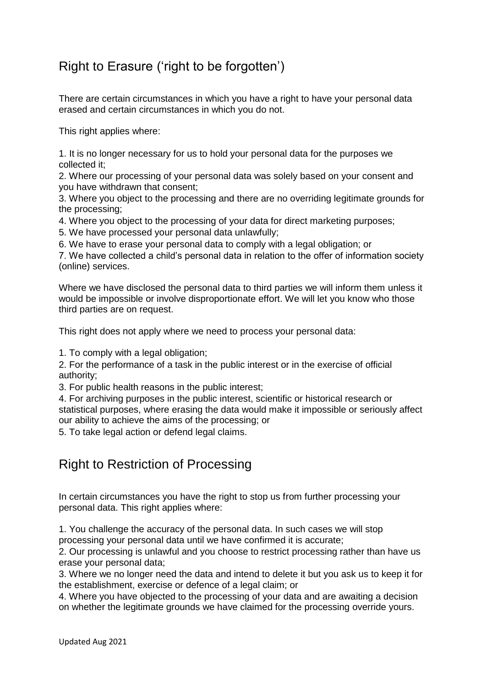## Right to Erasure ('right to be forgotten')

There are certain circumstances in which you have a right to have your personal data erased and certain circumstances in which you do not.

This right applies where:

1. It is no longer necessary for us to hold your personal data for the purposes we collected it;

2. Where our processing of your personal data was solely based on your consent and you have withdrawn that consent;

3. Where you object to the processing and there are no overriding legitimate grounds for the processing;

4. Where you object to the processing of your data for direct marketing purposes;

5. We have processed your personal data unlawfully;

6. We have to erase your personal data to comply with a legal obligation; or

7. We have collected a child's personal data in relation to the offer of information society (online) services.

Where we have disclosed the personal data to third parties we will inform them unless it would be impossible or involve disproportionate effort. We will let you know who those third parties are on request.

This right does not apply where we need to process your personal data:

1. To comply with a legal obligation;

2. For the performance of a task in the public interest or in the exercise of official authority;

3. For public health reasons in the public interest;

4. For archiving purposes in the public interest, scientific or historical research or statistical purposes, where erasing the data would make it impossible or seriously affect our ability to achieve the aims of the processing; or

5. To take legal action or defend legal claims.

#### Right to Restriction of Processing

In certain circumstances you have the right to stop us from further processing your personal data. This right applies where:

1. You challenge the accuracy of the personal data. In such cases we will stop processing your personal data until we have confirmed it is accurate;

2. Our processing is unlawful and you choose to restrict processing rather than have us erase your personal data;

3. Where we no longer need the data and intend to delete it but you ask us to keep it for the establishment, exercise or defence of a legal claim; or

4. Where you have objected to the processing of your data and are awaiting a decision on whether the legitimate grounds we have claimed for the processing override yours.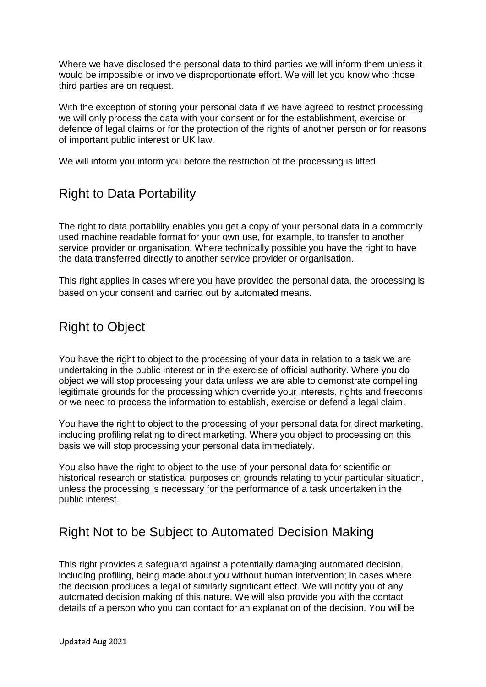Where we have disclosed the personal data to third parties we will inform them unless it would be impossible or involve disproportionate effort. We will let you know who those third parties are on request.

With the exception of storing your personal data if we have agreed to restrict processing we will only process the data with your consent or for the establishment, exercise or defence of legal claims or for the protection of the rights of another person or for reasons of important public interest or UK law.

We will inform you inform you before the restriction of the processing is lifted.

## Right to Data Portability

The right to data portability enables you get a copy of your personal data in a commonly used machine readable format for your own use, for example, to transfer to another service provider or organisation. Where technically possible you have the right to have the data transferred directly to another service provider or organisation.

This right applies in cases where you have provided the personal data, the processing is based on your consent and carried out by automated means.

## Right to Object

You have the right to object to the processing of your data in relation to a task we are undertaking in the public interest or in the exercise of official authority. Where you do object we will stop processing your data unless we are able to demonstrate compelling legitimate grounds for the processing which override your interests, rights and freedoms or we need to process the information to establish, exercise or defend a legal claim.

You have the right to object to the processing of your personal data for direct marketing, including profiling relating to direct marketing. Where you object to processing on this basis we will stop processing your personal data immediately.

You also have the right to object to the use of your personal data for scientific or historical research or statistical purposes on grounds relating to your particular situation, unless the processing is necessary for the performance of a task undertaken in the public interest.

## Right Not to be Subject to Automated Decision Making

This right provides a safeguard against a potentially damaging automated decision, including profiling, being made about you without human intervention; in cases where the decision produces a legal of similarly significant effect. We will notify you of any automated decision making of this nature. We will also provide you with the contact details of a person who you can contact for an explanation of the decision. You will be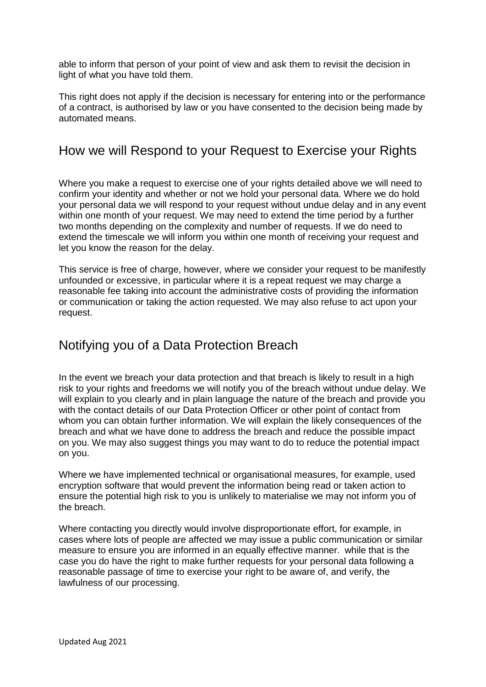able to inform that person of your point of view and ask them to revisit the decision in light of what you have told them.

This right does not apply if the decision is necessary for entering into or the performance of a contract, is authorised by law or you have consented to the decision being made by automated means.

### How we will Respond to your Request to Exercise your Rights

Where you make a request to exercise one of your rights detailed above we will need to confirm your identity and whether or not we hold your personal data. Where we do hold your personal data we will respond to your request without undue delay and in any event within one month of your request. We may need to extend the time period by a further two months depending on the complexity and number of requests. If we do need to extend the timescale we will inform you within one month of receiving your request and let you know the reason for the delay.

This service is free of charge, however, where we consider your request to be manifestly unfounded or excessive, in particular where it is a repeat request we may charge a reasonable fee taking into account the administrative costs of providing the information or communication or taking the action requested. We may also refuse to act upon your request.

## Notifying you of a Data Protection Breach

In the event we breach your data protection and that breach is likely to result in a high risk to your rights and freedoms we will notify you of the breach without undue delay. We will explain to you clearly and in plain language the nature of the breach and provide you with the contact details of our Data Protection Officer or other point of contact from whom you can obtain further information. We will explain the likely consequences of the breach and what we have done to address the breach and reduce the possible impact on you. We may also suggest things you may want to do to reduce the potential impact on you.

Where we have implemented technical or organisational measures, for example, used encryption software that would prevent the information being read or taken action to ensure the potential high risk to you is unlikely to materialise we may not inform you of the breach.

Where contacting you directly would involve disproportionate effort, for example, in cases where lots of people are affected we may issue a public communication or similar measure to ensure you are informed in an equally effective manner. while that is the case you do have the right to make further requests for your personal data following a reasonable passage of time to exercise your right to be aware of, and verify, the lawfulness of our processing.